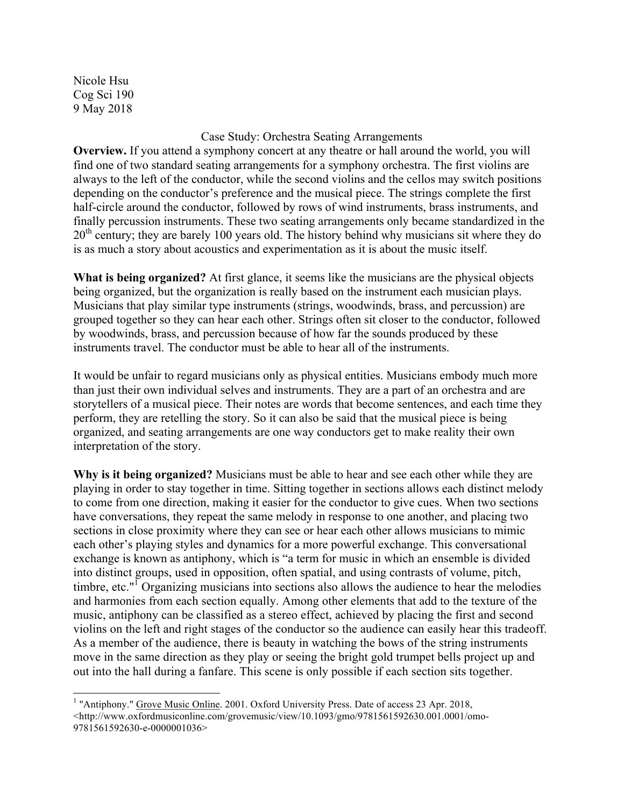Nicole Hsu Cog Sci 190 9 May 2018

## Case Study: Orchestra Seating Arrangements

**Overview.** If you attend a symphony concert at any theatre or hall around the world, you will find one of two standard seating arrangements for a symphony orchestra. The first violins are always to the left of the conductor, while the second violins and the cellos may switch positions depending on the conductor's preference and the musical piece. The strings complete the first half-circle around the conductor, followed by rows of wind instruments, brass instruments, and finally percussion instruments. These two seating arrangements only became standardized in the  $20<sup>th</sup>$  century; they are barely 100 years old. The history behind why musicians sit where they do is as much a story about acoustics and experimentation as it is about the music itself.

**What is being organized?** At first glance, it seems like the musicians are the physical objects being organized, but the organization is really based on the instrument each musician plays. Musicians that play similar type instruments (strings, woodwinds, brass, and percussion) are grouped together so they can hear each other. Strings often sit closer to the conductor, followed by woodwinds, brass, and percussion because of how far the sounds produced by these instruments travel. The conductor must be able to hear all of the instruments.

It would be unfair to regard musicians only as physical entities. Musicians embody much more than just their own individual selves and instruments. They are a part of an orchestra and are storytellers of a musical piece. Their notes are words that become sentences, and each time they perform, they are retelling the story. So it can also be said that the musical piece is being organized, and seating arrangements are one way conductors get to make reality their own interpretation of the story.

**Why is it being organized?** Musicians must be able to hear and see each other while they are playing in order to stay together in time. Sitting together in sections allows each distinct melody to come from one direction, making it easier for the conductor to give cues. When two sections have conversations, they repeat the same melody in response to one another, and placing two sections in close proximity where they can see or hear each other allows musicians to mimic each other's playing styles and dynamics for a more powerful exchange. This conversational exchange is known as antiphony, which is "a term for music in which an ensemble is divided into distinct groups, used in opposition, often spatial, and using contrasts of volume, pitch, timbre, etc." $\frac{1}{1}$  Organizing musicians into sections also allows the audience to hear the melodies and harmonies from each section equally. Among other elements that add to the texture of the music, antiphony can be classified as a stereo effect, achieved by placing the first and second violins on the left and right stages of the conductor so the audience can easily hear this tradeoff. As a member of the audience, there is beauty in watching the bows of the string instruments move in the same direction as they play or seeing the bright gold trumpet bells project up and out into the hall during a fanfare. This scene is only possible if each section sits together.

<sup>&</sup>lt;sup>1</sup> "Antiphony." Grove Music Online. 2001. Oxford University Press. Date of access 23 Apr. 2018,  $\text{Khttp://www.oxford musiconline.com/grovemusic/view/10.1093/gmo/9781561592630.001.0001/omo-10001/000}$ 9781561592630-e-0000001036>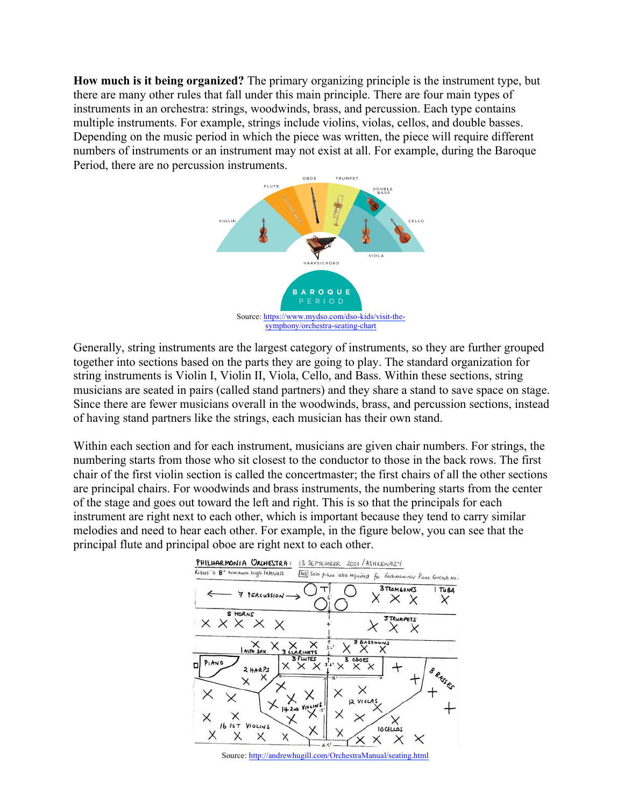**How much is it being organized?** The primary organizing principle is the instrument type, but there are many other rules that fall under this main principle. There are four main types of instruments in an orchestra: strings, woodwinds, brass, and percussion. Each type contains multiple instruments. For example, strings include violins, violas, cellos, and double basses. Depending on the music period in which the piece was written, the piece will require different numbers of instruments or an instrument may not exist at all. For example, during the Baroque Period, there are no percussion instruments.



Generally, string instruments are the largest category of instruments, so they are further grouped together into sections based on the parts they are going to play. The standard organization for string instruments is Violin I, Violin II, Viola, Cello, and Bass. Within these sections, string musicians are seated in pairs (called stand partners) and they share a stand to save space on stage. Since there are fewer musicians overall in the woodwinds, brass, and percussion sections, instead of having stand partners like the strings, each musician has their own stand.

Within each section and for each instrument, musicians are given chair numbers. For strings, the numbering starts from those who sit closest to the conductor to those in the back rows. The first chair of the first violin section is called the concertmaster; the first chairs of all the other sections are principal chairs. For woodwinds and brass instruments, the numbering starts from the center of the stage and goes out toward the left and right. This is so that the principals for each instrument are right next to each other, which is important because they tend to carry similar melodies and need to hear each other. For example, in the figure below, you can see that the principal flute and principal oboe are right next to each other.



Source:<http://andrewhugill.com/OrchestraManual/seating.html>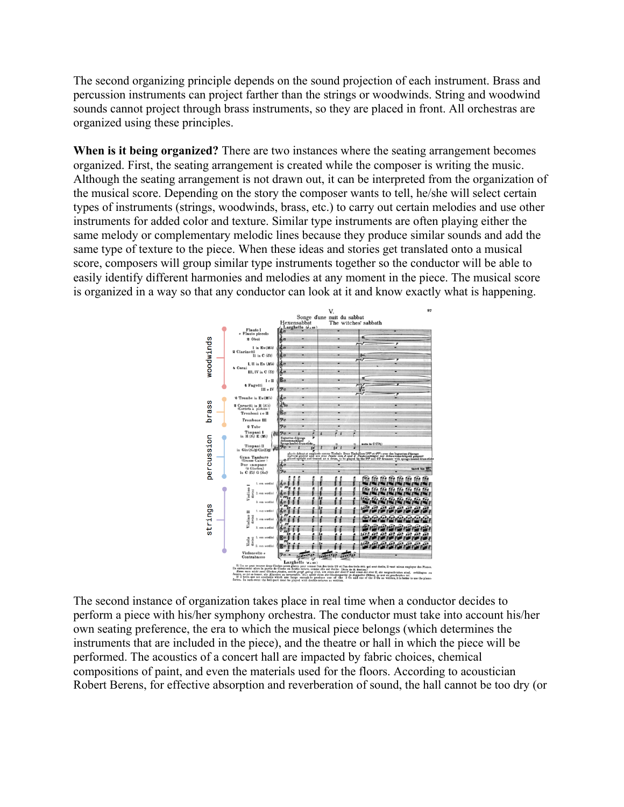The second organizing principle depends on the sound projection of each instrument. Brass and percussion instruments can project farther than the strings or woodwinds. String and woodwind sounds cannot project through brass instruments, so they are placed in front. All orchestras are organized using these principles.

**When is it being organized?** There are two instances where the seating arrangement becomes organized. First, the seating arrangement is created while the composer is writing the music. Although the seating arrangement is not drawn out, it can be interpreted from the organization of the musical score. Depending on the story the composer wants to tell, he/she will select certain types of instruments (strings, woodwinds, brass, etc.) to carry out certain melodies and use other instruments for added color and texture. Similar type instruments are often playing either the same melody or complementary melodic lines because they produce similar sounds and add the same type of texture to the piece. When these ideas and stories get translated onto a musical score, composers will group similar type instruments together so the conductor will be able to easily identify different harmonies and melodies at any moment in the piece. The musical score is organized in a way so that any conductor can look at it and know exactly what is happening.



The second instance of organization takes place in real time when a conductor decides to perform a piece with his/her symphony orchestra. The conductor must take into account his/her own seating preference, the era to which the musical piece belongs (which determines the instruments that are included in the piece), and the theatre or hall in which the piece will be performed. The acoustics of a concert hall are impacted by fabric choices, chemical compositions of paint, and even the materials used for the floors. According to acoustician Robert Berens, for effective absorption and reverberation of sound, the hall cannot be too dry (or